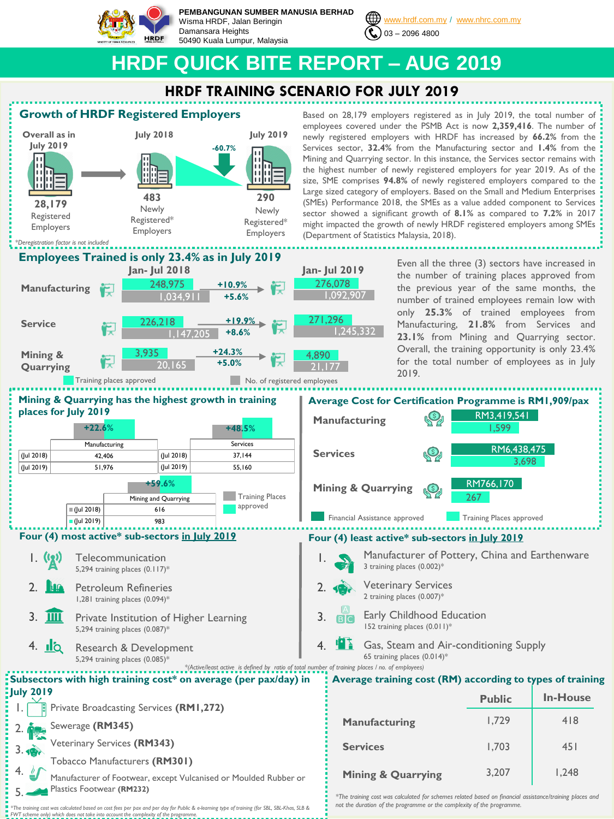

**PEMBANGUNAN SUMBER MANUSIA BERHAD** Wisma HRDF, Jalan Beringin Damansara Heights 50490 Kuala Lumpur, Malaysia



[www.hrdf.com.my](http://www.hrdf.com.my/) / [www.nhrc.com.my](http://www.nhrc.com.my/)

Based on 28,179 employers registered as in July 2019, the total number of

# **HRDF QUICK BITE REPORT – AUG 2019**

## **HRDF TRAINING SCENARIO FOR JULY 2019**

## **Growth of HRDF Registered Employers**



Even all the three (3) sectors have increased in the number of training places approved from the previous year of the same months, the number of trained employees remain low with only **25.3%** of trained employees from Manufacturing, **21.8%** from Services and **23.1%** from Mining and Quarrying sector. Overall, the training opportunity is only 23.4% sector showed a significant growth of **8.1%** as compared to **7.2%** in 2017 might impacted the growth of newly HRDF registered employers among SMEs



*\*The training cost was calculated based on cost fees per pax and per day for Public & e-learning type of training (for SBL, SBL-Khas, SLB & FWT scheme only) which does not take into account the complexity of the programme.* 

*not the duration of the programme or the complexity of the programme.*